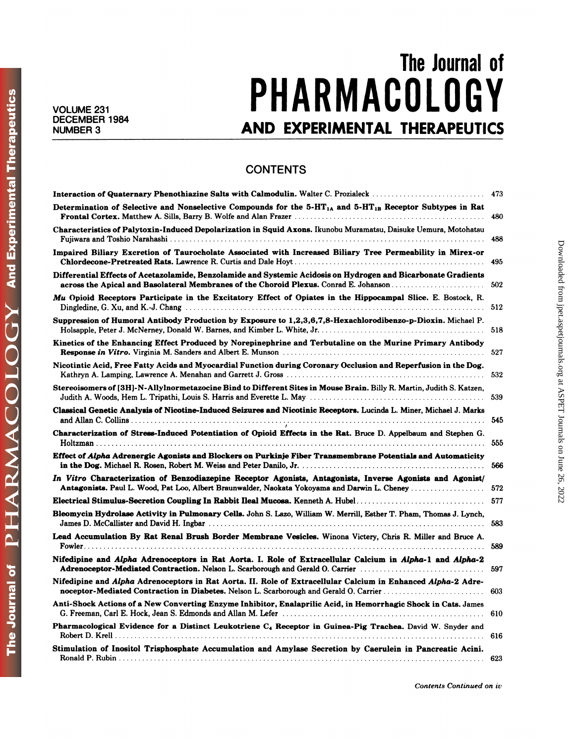**And Experimental Therapeutics** 

DGY

PHARMACOL

The Journal of

## The Journal of<br> **COMPASSION** VOLUME 231<br>PHAKMAUULUU Y The Journal of<br>DECEMBER 1984<br>AND EXPERIMENTAL THERAPEUTICS

## **CONTENTS**

| <b>CONTENTS</b>                                                                                                                                                                                            |     |
|------------------------------------------------------------------------------------------------------------------------------------------------------------------------------------------------------------|-----|
| Interaction of Quaternary Phenothiazine Salts with Calmodulin. Walter C. Prozialeck                                                                                                                        | 473 |
| Determination of Selective and Nonselective Compounds for the 5-HT <sub>1A</sub> and 5-HT <sub>1B</sub> Receptor Subtypes in Rat                                                                           | 480 |
| Characteristics of Palytoxin-Induced Depolarization in Squid Axons. Ikunobu Muramatsu, Daisuke Uemura, Motohatsu                                                                                           | 488 |
| Impaired Biliary Excretion of Taurocholate Associated with Increased Biliary Tree Permeability in Mirex-or                                                                                                 | 495 |
| Differential Effects of Acetazolamide, Benzolamide and Systemic Acidosis on Hydrogen and Bicarbonate Gradients<br>across the Apical and Basolateral Membranes of the Choroid Plexus. Conrad E. Johanson    | 502 |
| Mu Opioid Receptors Participate in the Excitatory Effect of Opiates in the Hippocampal Slice. E. Bostock, R.                                                                                               | 512 |
| Suppression of Humoral Antibody Production by Exposure to 1,2,3,6,7,8-Hexachlorodibenzo-p-Dioxin. Michael P.                                                                                               | 518 |
| Kinetics of the Enhancing Effect Produced by Norepinephrine and Terbutaline on the Murine Primary Antibody                                                                                                 | 527 |
| Nicotintic Acid, Free Fatty Acids and Myocardial Function during Coronary Occlusion and Reperfusion in the Dog.                                                                                            | 532 |
| Stereoisomers of [3H]-N-Allylnormetazocine Bind to Different Sites in Mouse Brain. Billy R. Martin, Judith S. Katzen,                                                                                      | 539 |
| Classical Genetic Analysis of Nicotine-Induced Seizures and Nicotinic Receptors. Lucinda L. Miner, Michael J. Marks                                                                                        | 545 |
| Characterization of Stress-Induced Potentiation of Opioid Effects in the Rat. Bruce D. Appelbaum and Stephen G.                                                                                            | 555 |
| Effect of Alpha Adrenergic Agonists and Blockers on Purkinje Fiber Transmembrane Potentials and Automaticity                                                                                               | 566 |
| In Vitro Characterization of Benzodiazepine Receptor Agonists, Antagonists, Inverse Agonists and Agonist/<br>Antagonists. Paul L. Wood, Pat Loo, Albert Braunwalder, Naokata Yokoyama and Darwin L. Cheney | 572 |
| Electrical Stimulus-Secretion Coupling In Rabbit Ileal Mucosa. Kenneth A. Hubel                                                                                                                            | 577 |
| Bleomycin Hydrolase Activity in Pulmonary Cells. John S. Lazo, William W. Merrill, Esther T. Pham, Thomas J. Lynch,                                                                                        | 583 |
| Lead Accumulation By Rat Renal Brush Border Membrane Vesicles. Winona Victery, Chris R. Miller and Bruce A.                                                                                                | 589 |
| Nifedipine and Alpha Adrenoceptors in Rat Aorta. I. Role of Extracellular Calcium in Alpha-1 and Alpha-2<br>Adrenoceptor-Mediated Contraction. Nelson L. Scarborough and Gerald O. Carrier                 | 597 |
| Nifedipine and Alpha Adrenoceptors in Rat Aorta. II. Role of Extracellular Calcium in Enhanced Alpha-2 Adre-<br>noceptor-Mediated Contraction in Diabetes. Nelson L. Scarborough and Gerald O. Carrier     | 603 |
| Anti-Shock Actions of a New Converting Enzyme Inhibitor, Enalaprilic Acid, in Hemorrhagic Shock in Cats. James                                                                                             | 610 |
| Pharmacological Evidence for a Distinct Leukotriene C4 Receptor in Guinea-Pig Trachea. David W. Snyder and                                                                                                 | 616 |
| Stimulation of Inositol Trisphosphate Accumulation and Amylase Secretion by Caerulein in Pancreatic Acini.                                                                                                 | 623 |

*Contents Continued on iv*